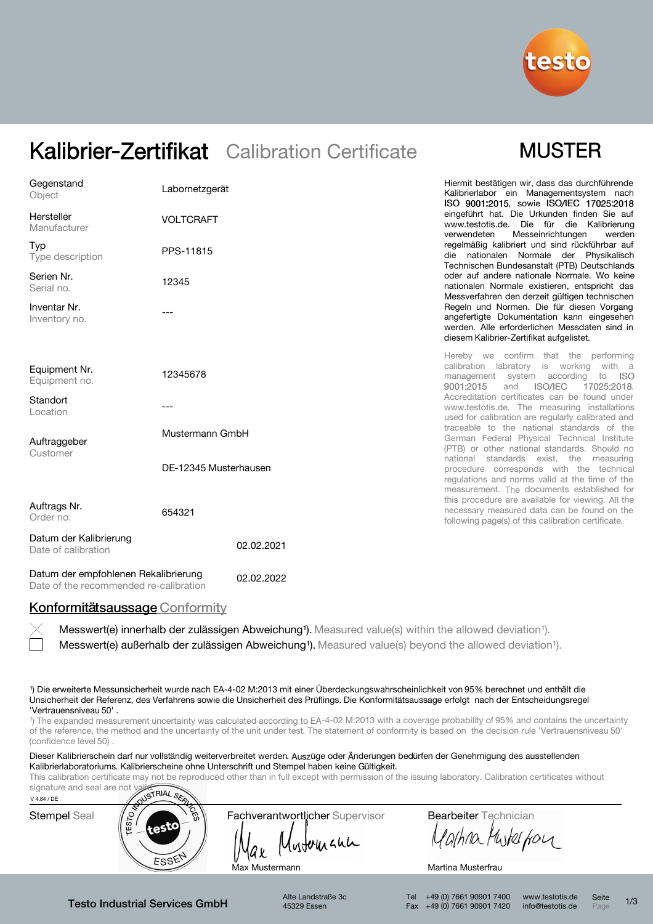

# Kalibrier-Zertifikat Calibration Certificate

# **MUSTER**

| Gegenstand<br>Object                          | Labornetzgerät        | Hiermit bestätigen wir, dass das durchführende<br>Kalibrierlabor ein Managementsystem nach<br>ISO 9001:2015, sowie ISO/IEC 17025:2018                                                  |
|-----------------------------------------------|-----------------------|----------------------------------------------------------------------------------------------------------------------------------------------------------------------------------------|
| Hersteller<br>Manufacturer                    | <b>VOLTCRAFT</b>      | eingeführt hat. Die Urkunden finden Sie auf<br>www.testotis.de. Die für die Kalibrierung<br>Messeinrichtungen<br>verwendeten<br>werden                                                 |
| Typ<br>Type description                       | PPS-11815             | regelmäßig kalibriert und sind rückführbar auf<br>die nationalen Normale der Physikalisch<br>Technischen Bundesanstalt (PTB) Deutschlands                                              |
| Serien Nr.<br>Serial no.                      | 12345                 | oder auf andere nationale Normale. Wo keine<br>nationalen Normale existieren, entspricht das<br>Messverfahren den derzeit gültigen technischen                                         |
| Inventar Nr.<br>Inventory no.                 |                       | Regeln und Normen. Die für diesen Vorgang<br>angefertigte Dokumentation kann eingesehen<br>werden. Alle erforderlichen Messdaten sind in<br>diesem Kalibrier-Zertifikat aufgelistet.   |
| Equipment Nr.<br>Equipment no.                | 12345678              | Hereby we confirm that the performing<br>calibration labratory is working<br>with a<br>management system according<br>to<br>- ISO<br><b>ISO/IEC</b><br>9001:2015<br>and<br>17025:2018. |
| Standort<br>Location                          |                       | Accreditation certificates can be found under<br>www.testotis.de. The measuring installations<br>used for calibration are regularly calibrated and                                     |
| Auftraggeber<br>Customer                      | Mustermann GmbH       | traceable to the national standards of the<br>German Federal Physical Technical Institute<br>(PTB) or other national standards. Should no                                              |
|                                               | DE-12345 Musterhausen | national standards exist, the measuring<br>procedure corresponds with the technical<br>regulations and norms valid at the time of the<br>measurement. The documents established for    |
| Auftrags Nr.<br>Order no.                     | 654321                | this procedure are available for viewing. All the<br>necessary measured data can be found on the<br>following page(s) of this calibration certificate.                                 |
| Datum der Kalibrierung<br>Date of calibration | 02.02.2021            |                                                                                                                                                                                        |

Datum der empfohlenen Rekalibrierung Date of the recommended re-calibration 02.02.2022

## Konformitätsaussage Conformity

Messwert(e) außerhalb der zulässigen Abweichung<sup>1</sup>). Measured value(s) beyond the allowed deviation<sup>1</sup>). Messwert(e) innerhalb der zulässigen Abweichung<sup>1</sup>). Measured value(s) within the allowed deviation<sup>1</sup>).

¹) Die erweiterte Messunsicherheit wurde nach EA-4-02 M:2013 mit einer Überdeckungswahrscheinlichkeit von 95% berechnet und enthält die Unsicherheit der Referenz, des Verfahrens sowie die Unsicherheit des Prüflings. Die Konformitätsaussage erfolgt nach der Entscheidungsregel 'Vertrauensniveau 50' .

<sup>1</sup>) The expanded measurement uncertainty was calculated according to EA-4-02 M:2013 with a coverage probability of 95% and contains the uncertainty of the reference, the method and the uncertainty of the unit under test. The statement of conformity is based on the decision rule 'Vertrauensniveau 50' (confidence level 50)

Dieser Kalibrierschein darf nur vollständig weiterverbreitet werden. Auszüge oder Änderungen bedürfen der Genehmigung des ausstellenden Kalibrierlaboratoriums. Kalibrierscheine ohne Unterschrift und Stempel haben keine Gültigkeit.

This calibration certificate may not be reproduced other than in full except with permission of the issuing laboratory. Calibration certificates without



Testo Industrial Services GmbH

Alte Landstraße 3c 45329 Essen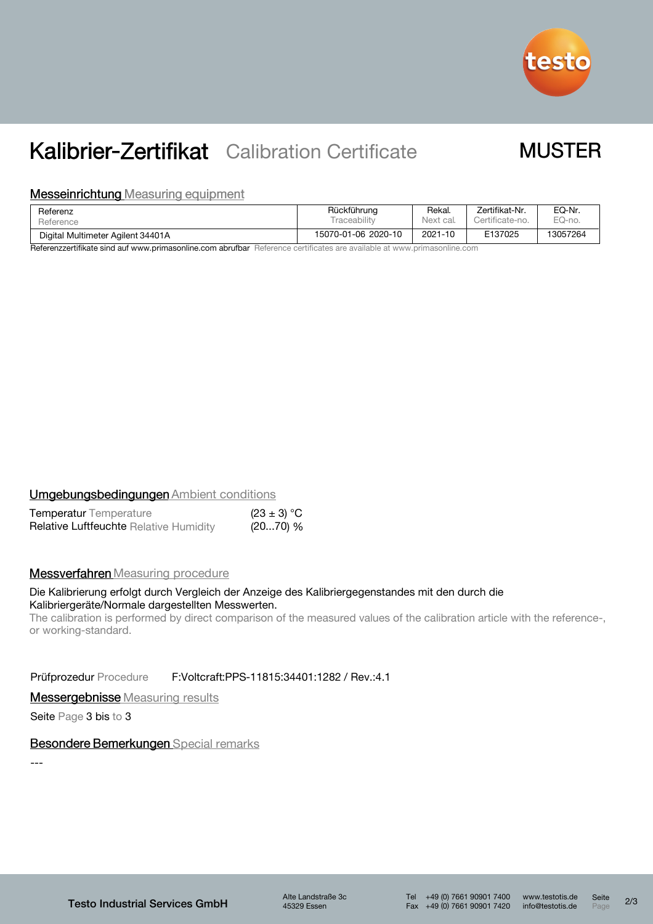

# Kalibrier-Zertifikat Calibration Certificate

# **MUSTER**

### **Messeinrichtung Measuring equipment**

| Referenz                          | Rückführung         | Rekal.    | Zertifikat-Nr.  | EQ-Nr.   |
|-----------------------------------|---------------------|-----------|-----------------|----------|
| Reference                         | <b>Fraceability</b> | Next cal. | Certificate-no. | EQ-no.   |
| Digital Multimeter Agilent 34401A | 15070-01-06 2020-10 | 2021-10   | E137025         | 13057264 |

Referenzzertifikate sind auf www.primasonline.com abrufbar Reference certificates are available at www.primasonline.com

#### **Umgebungsbedingungen Ambient conditions**  $(22 + 3)$   $(32 + 3)$

| <b>Temperatur</b> Temperature                 | $(23 \pm 3) °C$ |
|-----------------------------------------------|-----------------|
| <b>Relative Luftfeuchte Relative Humidity</b> | (2070) %        |

## **Messverfahren** Measuring procedure

### Die Kalibrierung erfolgt durch Vergleich der Anzeige des Kalibriergegenstandes mit den durch die Kalibriergeräte/Normale dargestellten Messwerten.

The calibration is performed by direct comparison of the measured values of the calibration article with the reference-, or working-standard.

Prüfprozedur Procedure F:Voltcraft:PPS-11815:34401:1282 / Rev.:4.1

**Messergebnisse** Measuring results

Seite Page 3 bis to 3

## Besondere Bemerkungen Special remarks

---